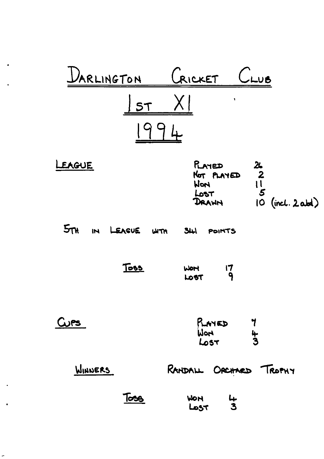| ARLINGTON                | CRICKET<br><b>UB</b>                                                                                                             |
|--------------------------|----------------------------------------------------------------------------------------------------------------------------------|
| 5T                       | ţ.                                                                                                                               |
| LEAGUE                   | RATED<br>26<br>$\overline{\mathbf{2}}$<br>NOT PLAYED<br>$\overline{\overline{5}}$<br>Worl<br>Lost<br>$10$ (incl. 2 abd)<br>DRAWN |
| $5\pi$<br>IN LEAGUE WITH | 341<br>POINTS                                                                                                                    |
| <u>Toss</u>              | $\mathsf{I}7$<br>WOM<br>9<br>LOST                                                                                                |
| Curs                     | RAYED<br>Hold<br>$\frac{4}{3}$<br>Lost                                                                                           |
| WINNERS                  | RANDALL ORCHARD TROPHY                                                                                                           |
| <u>Toss</u>              | <b>WON</b><br>4<br>$\overline{\mathbf{z}}$<br>Lost                                                                               |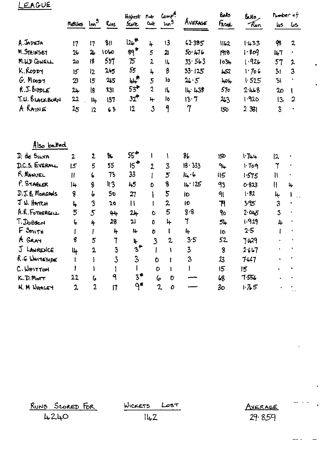## LEAGUE

|                                 | Matches          | Im <sup>3</sup> | Ruas                    | Highest<br><b>Score</b>           | $n -$<br><b>Out</b> | $\mathsf{Comp}^{\mathsf{d}}$<br>$\ln n^9$ | AVERAGE        | <b>Bals</b><br>Facel       | رداناها<br>-Fun | ЦS.             | <b><i>Pumber</i></b> of<br>ڪا |
|---------------------------------|------------------|-----------------|-------------------------|-----------------------------------|---------------------|-------------------------------------------|----------------|----------------------------|-----------------|-----------------|-------------------------------|
| A. JADEJA                       | 17               | 17              | 811                     | $12b$ <sup>*</sup>                | 4                   | 13                                        | 62.385         | 1162                       | 1.433           | 98              | $\overline{2}$                |
| M. STAINSBY                     | 26               | 26              | 1060                    | $89$ *                            | 5                   | $\boldsymbol{2}$                          | 50.476         | 1918                       | 1.809           | 147             | ,                             |
| M.H.D COWELL                    | 20               | 18              | 537                     | 15                                | $\overline{2}$      | 16                                        | 33.563         | $103 +$                    | 1.926           | 57              | 2                             |
| K.RODDY                         | 15               | 12              | 265                     | 55                                | 4                   | $\boldsymbol{\beta}$                      | 33.125         | <b>LS2</b>                 | 1.706           | 31              | 3                             |
| $G.$ Moop $\uparrow$            | 23               | 15              | 245                     | ₩ <sup>*</sup>                    | 5                   | ١o                                        | 21.5           | $\mu$ D $\mu$              | 1.525           | 31              | $\bullet$                     |
| $R.J.$ $B$ <sub>1</sub> $p$ $E$ | 24               | 18              | 231                     | 53                                | $\overline{c}$      | ſĽ                                        | 14:438         | 570                        | 2448            | 20 <sub>o</sub> | ŧ                             |
| T.U. BLACKBURN                  | 22               | 14              | 137                     | $32$ <sup>*</sup>                 | 4                   | ١o                                        | 13.7           | 263                        | 1.920           | 13              | $\overline{a}$                |
| A RAINE                         | 25               | 12              | 63                      | 12                                | $\overline{3}$      | 9                                         | $\overline{7}$ | 150                        | 2331            | $\overline{3}$  |                               |
| Also batted                     |                  |                 |                         |                                   |                     |                                           |                |                            |                 |                 |                               |
| D. de SILVA                     | $\mathbf{2}$     | $\mathbf{z}$    | ኤ                       | $55*$                             | ι                   | $\mathbf{I}$                              | 8 <sub>b</sub> | 150                        | 1.744           | $\overline{2}$  |                               |
| D.C.S. EVERML                   | 5 <sup>5</sup>   | 5               | 55                      | $15^{\textcolor{white}{\bullet}}$ | $\overline{2}$      | $\overline{\mathbf{3}}$                   | 18.333         | 9 <sub>1</sub>             | 1.709           | $\mathbf 7$     |                               |
| R. MANUEL                       | Ħ                | $\mathbf{L}$    | 73                      | 33                                |                     | 5                                         | 14.6           | <b>II5</b>                 | 1.575           | $\mathcal{U}$   |                               |
| P. STABLER                      | 14               | 8               | 113                     | 45                                | Ō                   | 8                                         | 14.125         | 93                         | 0.823           | II.             | 4                             |
| D.J.B. MORGANS                  | 8                | b               | 5 <sub>o</sub>          | 27                                | ١                   | 5                                         | Iо             | 91                         | 1.82            | 4               | ۱                             |
| J W. HATCH                      | 4                | 3               | 20                      | $\mathbf{1}$                      |                     | $\overline{z}$                            | 10             | $\mathcal{F}$              | $3 - 95$        | 3               |                               |
| A.R. FOTHERGILL                 | 5                | 5               | 44                      | $2+$                              | Ò                   | 5                                         | 8.8            | 9o                         | $2 - 045$       | 3               |                               |
| T. <b>JOBSON</b>                | 6                | 4               | 28                      | <b>21</b>                         | $\mathbf{0}$        | 4                                         | ٦              | 54                         | 1.929           | 4               |                               |
| F SMITH                         | ł                | I               | 4                       | 4                                 | O                   | 1                                         | 4              | İD                         | 2.5             | I               |                               |
| A GRAY                          | $\boldsymbol{g}$ | 5               | 7                       | 4                                 | $\overline{3}$      | $\mathbf{2}$                              | 3.5            | 52                         | 7.429           |                 |                               |
| J LANRENCE                      | 14               | $\overline{2}$  | $\overline{\mathbf{3}}$ | $3^+$                             | ł                   | 1                                         | 3              | 8                          | 2.667           |                 |                               |
| R.G WHITESIDE                   | Ł                | ł               | $\overline{3}$          | $\overline{3}$                    | $\mathbf 0$         | $\mathbf{l}$                              | 3              | $\boldsymbol{\mathcal{Z}}$ | $7 - 67$        |                 |                               |
| C. WHITTON                      |                  | ١               | I                       |                                   | $\mathsf D$         | $\mathbf{l}$                              | I              | 15                         | 15              |                 |                               |
| K.D.M <sub>off</sub>            | 22               | 6               | 9                       | $3^*$                             | 6                   | 0                                         |                | 68                         | 7.556           |                 |                               |
| K. M WHALEY                     | $\overline{2}$   | $\overline{2}$  | $\overline{17}$         | $q^*$                             | $\mathbf{z}$        | 0                                         |                | 3 <sub>O</sub>             | 1.75            |                 |                               |

RUNS SCORED FOR

WICKETS  $L$  $-5$ 

AVERAGE  $29.859$ 

 $\mathbf{L}$ 

 $\overline{\phantom{0}}$ 

 $\sim$   $\sim$ 

22. p

 $\mathbf{r}$ 

 $\frac{1}{142}$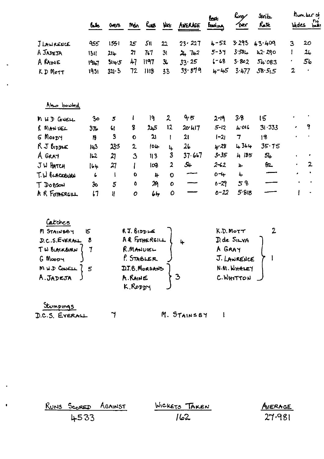|                                              | bjs.             | <b>OVERS</b>           |                     | Mdn Ruas Wet     |                | AVERAGE        | ક્ટિક<br><b><i><u>fooding</u></i></b> | kny∕<br>$\gamma_{\rm pc}$ | <b>Strib</b><br>Rate |                | <i>nonber</i> of<br>wides bun: |
|----------------------------------------------|------------------|------------------------|---------------------|------------------|----------------|----------------|---------------------------------------|---------------------------|----------------------|----------------|--------------------------------|
| JLAWRENCE                                    | 955              | 1551                   | 25                  | 5 <sub>ll</sub>  | 22             | 23.227         | 4-52                                  | 3 293                     | 43.409               | $\overline{3}$ | 20                             |
| A JADEJA                                     | 131              | 214                    | 27                  | 7.1              | 3 <sub>l</sub> | $24 - 742$     | $5 - 37$                              | 3.584                     | 42.290               | 1              | 26                             |
| A RAINE                                      | 1917             | $31 + 5$               | 47                  | 1197             | $\mathbf{3}$   | $33 \cdot 25$  | $6 - 68$                              | 3.802                     | 54.083               |                | 56                             |
| KD MOTT                                      | 1931             | $32 \cdot 3$           | 72                  | 1118             | 33             | 33.579         | $4 - 45$                              | 3.477                     | 58.55                | 2              | $\sim$ 100 $\pm$               |
| Also bowled                                  |                  |                        |                     |                  |                |                |                                       |                           |                      |                |                                |
| M W D CONELL                                 | 3 <sub>o</sub>   | 5                      | L                   | 19               | $\mathbf{2}$   | ふら             | $2 - 19$                              | 3.8                       | 15                   |                |                                |
| R MANUEL                                     | 37 <sub>b</sub>  | $\mathsf{G}$           | 8                   | 5بىلا            | 12             | 20.117         | $5 - 12$                              | 4.016                     | 31.333               |                | 9                              |
| G MOODY                                      | $\boldsymbol{n}$ | 3                      | $\bullet$           | 21               | Ł              | 21             | $I - 2I$                              | $\overline{7}$            | 18                   |                |                                |
| R J BIDDLE                                   | 143              | 23.5                   | 2                   | 104              | 4              | 2 <sub>b</sub> | $4 - 28$                              | 4364                      | 35.75                |                |                                |
| A GRAY                                       | IL               | $\boldsymbol{\lambda}$ | 3                   | 113              | 3              | 37.667         | $3 - 35$                              | 4 185                     | 54                   |                | ٠                              |
| JW HATCH                                     | $ b+$            | 27                     |                     | I <sub>0</sub> 3 | 2              | 54             | 2-62                                  | $\mathbf{u}$              | 62                   |                | $\mathbf{z}$                   |
| T.W BLACKBURN                                | 6                | $\mathbf{I}$           | O                   | 4                | $\mathbf 0$    |                | $0 - 4$                               | 4                         |                      |                | ٠                              |
| T DOBSON                                     | $30^{\circ}$     | 5                      | O                   | 29               | $\mathbf o$    |                | $0 - 29$                              | 58                        |                      | $\bullet$      | $\bullet$                      |
| A R FOTHERGILL                               | $\mathbf{L}$     | ll.                    | 0                   | 64               | $\mathbf o$    |                | $0 - 22$                              | 5.818                     |                      | I              | ٠                              |
| Catches                                      |                  |                        |                     |                  |                |                |                                       |                           |                      |                |                                |
| M STAINBOY                                   | 15               |                        | $RJ.$ $BIDDLE$      |                  |                |                |                                       | K.D. MotT                 | 2                    |                |                                |
| D.C.S.EVERALL                                | -8               |                        |                     | AR FOTHERGILL    |                | 4              |                                       | D. de SILVA               |                      |                |                                |
| TW BLACKBURN                                 | 7                |                        | R. MANUEL           |                  |                |                | A GRAY                                |                           |                      |                |                                |
| G MOODY                                      |                  |                        |                     | P. STABLER       |                |                |                                       | J. LAWRENCE               |                      |                |                                |
| $M W D$ CONELL $\begin{cases} 5 \end{cases}$ |                  |                        |                     | D.J.B. MORGANS   |                |                |                                       | N.M. WHALEY               |                      |                |                                |
| A.JADEJA                                     |                  |                        | A. RAINE<br>K.Roppy |                  |                |                |                                       | C.WHITTON                 |                      |                |                                |
| Stumpings<br>D.C.S. EVERALL                  |                  |                        |                     |                  |                |                |                                       |                           |                      |                |                                |
|                                              |                  | י                      |                     |                  |                | M. STAINSBY    | Ł                                     |                           |                      |                |                                |

| RUNS SCORED AGAINST | WICKETS TAKEN | AVERAGE |
|---------------------|---------------|---------|
| 4533                | ۔2ما ا        | 27.981  |

×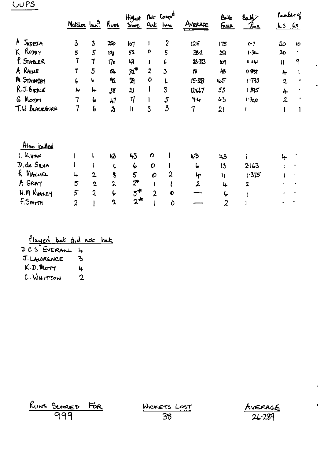## $CUPS$

|                |                   |                |                |                                      | Not Comp <sup>d</sup><br>Highest |                         |                  | Balls                | مكلمكا           |                          | Rumber of |  |
|----------------|-------------------|----------------|----------------|--------------------------------------|----------------------------------|-------------------------|------------------|----------------------|------------------|--------------------------|-----------|--|
|                | Matches Inn. Ruas |                |                | Score                                | <b>Out</b>                       | لمما                    | Averace          | <u>Freed</u>         | Pu r             | $\frac{1}{2}$ 65         |           |  |
| A JADESA       | $\overline{3}$    | $\overline{5}$ | 250            | 107                                  |                                  | $\overline{2}$          | 125              | 175                  | o·7              | 20                       | 10        |  |
| K RODDY        | 5                 | 5              | 19J            | 52                                   | O                                | 5                       | 362              | 29                   | 1.34             | م2                       |           |  |
| P. STABLER     | 7                 | 7              | 170            | 49                                   |                                  | L                       | 28.333           | IЩ                   | 0.44             | $\mathbf{H}$             | 9         |  |
| A RAINE        | 7                 | 5              | $\mathbf{a}$   | $32^*$                               | $\overline{2}$                   | $\overline{\mathbf{3}}$ | 19               | 48                   | 0881             | 4                        | 1         |  |
| In STAINSBY    | L                 | $\bullet$      | ሚ              | $\mathfrak{R}$                       | $\mathbf o$                      | L                       | $15 - 33$        | 165                  | 1.793            | $\mathbf 2$              | 4         |  |
| R.J. BoppLE    | 4                 | 4              | 38             | $\mathfrak{U}$                       | I                                | 3                       | 12.47            | 53                   | 1395             | 4                        | ٠         |  |
| <b>G</b> Moori | 7                 | 6              | 47             | $\mathsf{I}7$                        |                                  | $\overline{5}$          | 9·               | 43                   | 1340             | $\overline{\mathcal{L}}$ | ٠         |  |
| T. W BLACKBURN | 7                 | b              | $\mathbf{z}_1$ | $\mathbf{h}$                         | $\overline{3}$                   | $\mathfrak{Z}$          | 7                | 21                   |                  |                          |           |  |
| Also batted    |                   |                |                |                                      |                                  |                         |                  |                      |                  |                          |           |  |
| 1. KHAN        |                   |                | 43             | 43                                   | $\mathbf C$                      |                         | 43               | 43                   |                  |                          |           |  |
| D. de SILVA    |                   |                | ١.             | 6                                    | $\mathbf O$                      |                         | 6                | 15                   | 2163             |                          |           |  |
| R MANUEL       | 4                 | $\mathbf{2}$   | 8              | 5                                    | $\mathcal O$                     | 2                       | 4                | Π                    | 1.375            |                          |           |  |
| A GRAY         | 5                 | 2              | $\lambda$      | $\mathcal{Z}^{\bullet}$              |                                  |                         | $\boldsymbol{z}$ | 4                    | $\boldsymbol{2}$ |                          |           |  |
| N.M WHALEY     | 5                 | $\overline{2}$ | 6              | $5^{\textcolor{red}{\blacklozenge}}$ | $\mathbf{c}$                     | 0                       |                  | 6                    |                  |                          |           |  |
| F.Smith        | $\overline{2}$    |                | $\mathbf{r}$   | $2^*$                                |                                  | 0                       |                  | $\overline{\lambda}$ |                  |                          |           |  |

Played but did not bat

J. LAWRENCE  $\mathbf{B}$ K.D. Morr  $\frac{1}{2}$ C. WHITTON  $\overline{2}$ 

| RUNS SCORED | FOR. |
|-------------|------|
| 999         |      |

WICKETS LOST<br>38



¥.

 $\ddot{\phantom{a}}$ 

 $\bullet$ 

 $\mathbf{r}$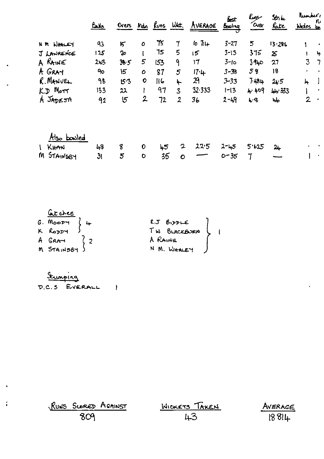|                                      | <u>Bails</u>   |                |              |     |                                 | Overs Mdn Runs Wet. AVERADE | best<br>Bowling | $rac{\text{f}_\text{up}}{\text{f}_\text{up}}$ | Strike<br><u>late</u>      | Munder,<br>Woles be | ru             |
|--------------------------------------|----------------|----------------|--------------|-----|---------------------------------|-----------------------------|-----------------|-----------------------------------------------|----------------------------|---------------------|----------------|
| <b>HM WHALEY</b>                     | 93             | 5 <sup>2</sup> | $\mathbf o$  | 75  | $\mathcal{I}$                   | $1071 +$                    | $3 - 27$        | 5                                             | 13.286                     | ١                   | $\sim$         |
| J LANRENCE                           | 125            | ${\bf 2}$      |              | 75  | 5                               | 15                          | $3 - 13$        | 375                                           | $\boldsymbol{\mathcal{Z}}$ | $\mathbf{I}$        | $\mathbf{h}$   |
| A RAINE                              | 243            | 36.5           | 5            | 153 | 9                               | 17                          | $3-10$          | 3.940                                         | 27                         | 3                   | $\overline{7}$ |
| A GRAY                               | 90             | $\mathsf{15}$  | $\circ$      | 87  | 5                               | $17 +$                      | $3 - 38$        | 58                                            | 18                         |                     |                |
| R. MANUEL                            | 98             | 15.3           | $\bullet$    | 116 | $\vdash$                        | 29                          | $3 - 33$        | 7.484                                         | $2 + 5$                    | $\frac{1}{2}$       |                |
| K.D MOTT                             | 133            | 22             | Ł            | 97  | $\mathbf{3}$                    | 32.333                      | $1-13$          | 4.409                                         | 44.333                     |                     | $\blacksquare$ |
| A JADEJA                             | 92             | $5^{\circ}$    | $\mathbf{2}$ | 72  | $\overline{2}$                  | 36                          | $2 - 49$        | 48                                            | Щ,                         | $\overline{2}$      | $\bullet$      |
| <u>Also bowled</u>                   |                |                |              |     |                                 |                             |                 |                                               |                            |                     |                |
| KHAN<br>$\mathbf{L}$                 | 48             | 8              | $\mathbf{o}$ | 45  | $\mathbf{z}$                    | 22.5                        | $2 - 45$        | 5.625                                         | $2+$                       |                     |                |
| STAINSBY<br>M                        | 3 <sub>l</sub> | 5              | $\bullet$    | 35  | $\bullet$                       |                             | $0 - 35$        | $\mathbf 7$                                   |                            |                     |                |
|                                      |                |                |              |     |                                 |                             |                 |                                               |                            |                     |                |
| <u>lutches</u><br>$M_{\odot}$ $\sim$ |                |                |              |     | $\theta$ is the set of $\theta$ |                             |                 |                                               |                            |                     |                |

| $G.$ Moo <sub>p</sub> $\left\{\right.$ | $R.J$ $B$ <sub>1</sub> $D$ $D$ $LE$ |
|----------------------------------------|-------------------------------------|
| K RODDY                                | TW BLACKBURN                        |
| A GRAY                                 | A RAINE                             |
| M STAINSBY                             | N M. WHALEY                         |

Stumping<br>D.C.S EVERALL 1

 $\ddot{\phantom{1}}$ 

J.

 $\bullet$ 

 $\ddot{\cdot}$ 

| RUNS SCORED AGAINST | WICKETS TAKEN | AVERAGE |
|---------------------|---------------|---------|
| 809                 | 43            | 18814   |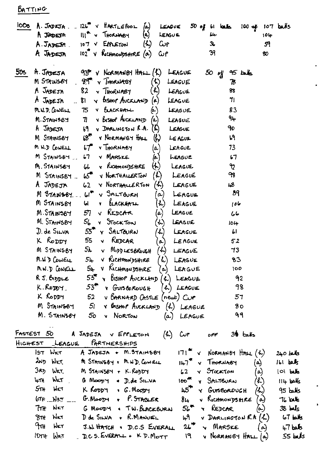BATTING

| locs i<br>$\left( \circ \right)$<br>$126$ $\times$ NARTLEPOOL<br>$\Lambda$ . Jadra .<br>$100 - 4$ $107 - 64$ s<br>$50$ of 61 loads<br>LEAGUE |             |
|----------------------------------------------------------------------------------------------------------------------------------------------|-------------|
| A JADEJA III <sup>R</sup> v Thorwasy<br>(a)<br>LENGUE<br>جاما<br>$10+p$                                                                      |             |
| $\mathcal{L}$<br>$A.$ JADESM $.$ 107 $\vee$ EPPLETON<br><b>Cup</b><br>3,<br>59                                                               |             |
| 39<br>A JADEJA 102" V KICHMONDSHIRE (a) CUP<br>80                                                                                            |             |
|                                                                                                                                              |             |
| 505<br>$A.$ $J$ A $D$ $E$ $SA$<br>$93$ v Normanist $H$ ALL $(L)$<br>LEAGUE<br>$45$ balls<br>50 y                                             |             |
| M STAINSBY 99 Y THORNABY<br>(小)<br>LEAGUE<br>78                                                                                              |             |
| A JADEJA<br>82 <sub>2</sub><br>V THORNABY<br>$\left( \kappa \right)$<br>83<br>LEAGUE                                                         |             |
| A JADESA $\therefore$ 81 $\vee$ bishop AUCCLAND $(a)$<br>71<br>LEAGUE                                                                        |             |
| M.N.D. CONELL<br>75 V BLACKHALL<br>83<br>$(\triangleright)$<br>LEAGUE                                                                        |             |
| M. STAINSBY 71 V BISHOP AUCKLAND (a) LEAGUE<br>94                                                                                            |             |
| 69<br>V DARLINGTON R.A. (K)<br>90<br>A JADEJA<br>LEAGUE                                                                                      |             |
| M STAINSBY 68 <sup>7</sup> Y NORMANBY HALL<br>٢J<br>$\langle \cdot \rangle$<br>LE AGUE                                                       |             |
| <b>Y</b> THORNABY<br>M N.D CONELL<br>$\overline{57}$<br>73<br>(a)  <br>LEAGUE                                                                |             |
| <b>V MARSKE</b><br>M STAINSBY<br>57 <sub>1</sub><br>67<br>LEAGUE<br>$\left\{ \alpha \right\}$                                                |             |
| y RICHMONDSHIRE<br>$\left(\!\leftarrow\!\right)$<br>M. STAINSBY<br>ᡇ<br>66<br>LEAGUE                                                         |             |
| $45 -$<br>93<br>V NORTHALLERTON<br>$(\mathcal{L})$<br>M STAINSBY<br>LEAGUE                                                                   |             |
| A JADEJA<br>Y NORTHALLERTON<br>$(\lambda)$<br>ىم<br>$62-$<br>LEAGUE                                                                          |             |
| 89<br>$M$ STANSBY $\cdot$ 61 <sup>°</sup> $\vee$ SALTGURH<br>LEAGUE<br>$\boldsymbol{\alpha}$                                                 |             |
| M STAINSBY<br><b>v</b> BLACKHATL<br>اما<br>$(\boldsymbol{k})$<br>LEAGUE<br>106                                                               |             |
| M. STAINSBY<br>57<br>V REDCAR<br>LEAGUE<br>(e)<br>66                                                                                         |             |
| 56<br>M. STAINSBY<br>Y STOCKTON<br>$(\lambda)$<br>LEAGUE<br>104                                                                              |             |
| $D.$ de SILVA 55 <sup><math>\pi</math></sup> Y SALTEURN<br>$\mathcal{L}$<br>Ы<br>LEAGUE                                                      |             |
| v REDCAR<br>K RODDY<br>55<br>LEAGUE<br>52<br>$\alpha)$                                                                                       |             |
| 5 <sub>k</sub><br>$(\mathcal{L})$<br>M STAINSBY<br>V MIDDLESBROUGH<br>73<br>LEAGUE                                                           |             |
| V RICHMONDSHIRE<br>M.WD COWELL<br>$\lambda$<br>$5+$<br>83<br>LEAGUE                                                                          |             |
| MW.D CONELL<br>$5\mu$ V KICHMONDSHIRE $(a)$ LEAGUE<br>100                                                                                    |             |
| $53^{\prime\prime}$ y Bishop Avekland $(k)$ LEAGUE<br>R J. BIDDLE<br>92                                                                      |             |
| $53$ $\sqrt{ }$ $\sqrt{ }$ $50\%$ $\sqrt{ }$<br>98<br>K.RODDY<br>$(h)$ LEAGUE                                                                |             |
| K RODDY<br>52 v BARNARD CASTLE (neut) Cur<br>57                                                                                              |             |
| M STAINSBY<br>$51$ $\vee$ BISHOP AVEKLAND $(L)$ LEAGUE<br>80                                                                                 |             |
| M. STAINSBY<br>99<br>50<br><b>v</b> NORTON<br>$(a)$ LEAGUE                                                                                   |             |
| FASTEST 50                                                                                                                                   |             |
| A JADEJA V EPPLETON<br>$\mathcal{L}$<br>$36$ $64$<br>Cup<br>off<br>PARTNERSHIPS<br>HIGHEST LEAGUE                                            |             |
| $171$ <sup>*</sup> $\vee$ NORMANBY HALL $(4)$<br>IST WKT<br>A JADEJA + M.STAINSBY                                                            | $240$ balls |
| 2ND WKT<br>M STAINSBY + M.WD. COWELL<br>$147$ v THORNABY<br>(a)                                                                              | $161$ belts |
| 3RD.<br>WKT.<br>M STAINSBY + K.RODDY<br>y Stockton<br>62<br>$\omega$                                                                         | $ O $ belo  |
| WKT<br>$+ \pi$<br>100 <sup>48</sup><br>G MOODY & D. de SILVA<br>V SALTBURN<br>(R)                                                            | $114$ balls |
| 5n<br>икт<br>K RODDY & G. MOODY<br>$h5$ <sup>T</sup><br>Y GUISBORDUGH<br>$\lambda$ )                                                         | $95$ balls  |
| $6T_H$ $N_{KT}$<br>$G.M$ $op + P.S$ TABLER<br>v Richmonipsmre<br>$8+$<br>' പ                                                                 | $76$ bits   |
| NKT<br>$56$ *<br>$7\pi$<br>G MOODY . TW. BLACKBURN<br><b>Y</b> REDCAR<br>(⊶)                                                                 | $38$ bels   |
| <b>8TH WKT</b><br>D de SILVA + R.MANUEL<br>ᡰᠲ<br>V DARLINGTON R.A (h)                                                                        | $67$ table  |
| ᠲᠬᡅ<br>$2L^*$ $\sqrt{M}$ MARSKE<br><b>NET</b><br>J.W. HATCH . D.C.S EVERALL<br>$(\infty)$                                                    | $47$ belo   |
| $10T + 10K$<br>D.C.S. EVERALL + K.D. MOTT<br>$19$ v NORMANBY HALL $(a)$                                                                      | $55$ bals   |
|                                                                                                                                              |             |

ä,

 $\bullet$ 

 $\ddot{\phantom{0}}$ 

j.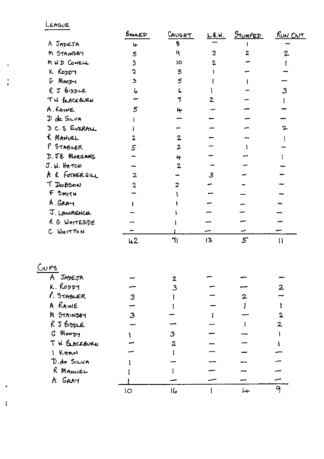LEAGUE

×

 $\ddot{\bullet}$ 

 $\ddot{\phantom{a}}$ 

 $\ddot{\bullet}$ 

|                        | BOUED                   | CAUGHT                  | L.B.W.         | <u>STUMPED</u> | <u>RUN OUT</u> |
|------------------------|-------------------------|-------------------------|----------------|----------------|----------------|
| A JADEJA               | 4                       | 8                       |                |                |                |
| M STAINSBY             | 5                       | q                       | 3              | 2              | $\overline{c}$ |
| MWD COWELL             | 3                       | 10                      | $\overline{2}$ |                |                |
| K RODDY                | $\mathbf 2$             | 5                       |                |                |                |
| $G$ Moopy              | $\overline{\mathbf{3}}$ | 5                       |                |                |                |
| $R$ J $B$ $D$ $D$ $LE$ | 6                       |                         |                |                | $\overline{3}$ |
| TH BLACKBURN           |                         | ٢                       | $\overline{2}$ |                |                |
| A. RAINE               | $5\phantom{1}$          | 4                       |                |                |                |
| D de SLVA              |                         |                         |                |                |                |
| DC.S EVERALL           |                         |                         |                |                |                |
| R MANUEL               | $\overline{2}$          | 2                       |                |                |                |
| P STABLER              | $\overline{5}$          | $\overline{2}$          |                |                |                |
| D. JB MORGANS          |                         | 4                       |                |                |                |
| J.W. HATCH             |                         | $\overline{2}$          |                |                |                |
| A R FOTHERGILL         | $\overline{2}$          |                         | $\mathbf{3}$   |                |                |
| T DOBSON               | 2                       | 2                       |                |                |                |
| F SMITH                |                         |                         |                |                |                |
| A.GRAY                 |                         |                         |                |                |                |
| J. LAWRENCE            |                         |                         |                |                |                |
| R G WHITESIDE          |                         |                         |                |                |                |
| C WHITTON              |                         |                         |                |                |                |
|                        | 42                      | 71                      | 13             | 5 <sup>2</sup> | $\mathbf{1}$   |
| $CU$ es                |                         |                         |                |                |                |
| JADEJA<br>A.           |                         | $\overline{\mathbf{2}}$ |                |                |                |
| k. Roppy               |                         | 3                       |                |                | 2              |
| P. STABLER             | 3                       |                         |                | 2              |                |
| A RAINE                |                         |                         |                |                |                |
| M STAINSBY             | 3                       |                         |                |                |                |
| R J BIDDLE             |                         |                         |                |                | 2              |
| G Moopy                |                         | 3                       |                |                |                |
| T W BACKBURN           |                         | $\mathbf{z}$            |                |                |                |
| I KHAH                 |                         |                         |                |                |                |
| D.de SILVA             |                         |                         |                |                |                |
| R MANUEL               |                         |                         |                |                |                |
| A GRAY                 |                         |                         |                |                |                |
|                        | IO                      | م) ا                    |                | مهرا           | 9              |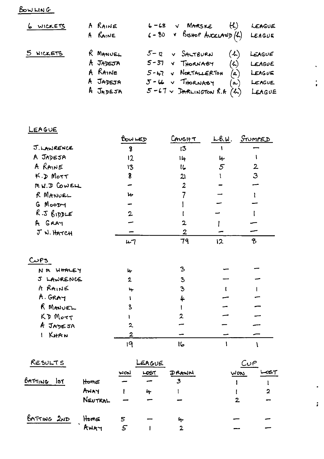BOWLING

| 6 WICKETS | A RAINE                         | $6 - 68$ v Marske $(H)$ LEAGUE                                                  |                                              |
|-----------|---------------------------------|---------------------------------------------------------------------------------|----------------------------------------------|
|           | A RAINE                         | $6 - 80$ v Bishop AUCKLAND $(k)$ LEAGUE                                         |                                              |
| 5 WICKETS | R MANUEL<br>A JADEJA<br>A RAINE | $5 - 2$ $\times$ $S$ ALTBURN<br>$5 - 37$ $\vee$ THORNABY<br>5-47 V NORTALLERTON | $(4)$ LEAGUE<br>$(4)$ LEAGUE<br>$(a)$ LEAGUE |
|           | A JADEJA<br>A JADEJA            | $5 - 46 - 7$ THORNABY<br>(a)<br>$5 - 67$ v DARLINGTON R.A $(h)$ LEAGUE          | LEAGUE                                       |

 $\hat{\mathbf{v}}$ 

 $\ddot{\cdot}$ 

L.

 $\ddot{i}$ 

## LEAGUE

|                       | BOWLED         | CAUGHT         |    | <u>L.B.W. STUMPED</u> |  |
|-----------------------|----------------|----------------|----|-----------------------|--|
| J. LAWRENCE           | 8              | 13             |    |                       |  |
| A JADEJA              | 12             | 14             | 4  |                       |  |
| A RAINE               | 13             | し              | 5  | $\mathbf{2}$          |  |
| $K.D$ Mott            | 8              | 21             |    | 3                     |  |
| MU.J COWELL           |                | $\overline{2}$ |    |                       |  |
| R MANUEL              | ىبا            |                |    |                       |  |
| G MooDy               |                |                |    |                       |  |
| $R.5$ bipple          | $\overline{2}$ |                |    |                       |  |
| A GRAY                |                | 2              |    |                       |  |
| J W. HATCH            |                | $\overline{2}$ |    |                       |  |
|                       | 47             | 79             | 12 | 8                     |  |
| C <sub>SPS</sub>      |                |                |    |                       |  |
| NM WHALEY             | ŀ۲             | 3              |    |                       |  |
| J LAWRENCE            | $\overline{2}$ | 3              |    |                       |  |
| A RAINE               | ۱.             | 3              |    |                       |  |
| A. GRAY               |                | 4              |    |                       |  |
| R MANUEL              | 3              |                |    |                       |  |
| $KD$ $M_{\text{off}}$ |                |                |    |                       |  |
| A JADEJA              | 2              |                |    |                       |  |
| KHAN                  | 2              |                |    |                       |  |
|                       | 19             | 16             |    |                       |  |

| RESULTS     |         | LEAGUE |      |       | ص   |  |
|-------------|---------|--------|------|-------|-----|--|
| BATTING     |         | WON    | LOST | DRAWN | Won |  |
| lst         | Home    |        |      | 3     |     |  |
|             | AWAY    |        | 4    |       |     |  |
|             | NEUTRAL |        |      |       | 2   |  |
| BATTING 2ND | HomE    | 5      |      | 4     |     |  |
|             | AWAY    |        |      |       |     |  |